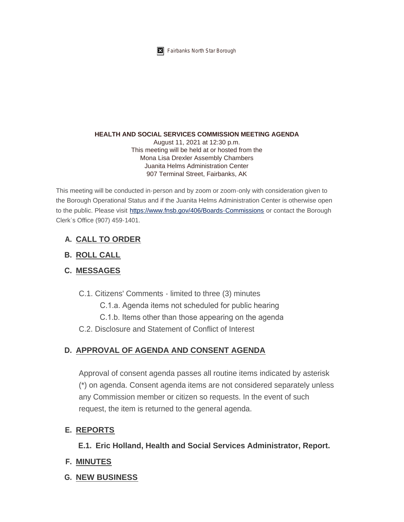

**K** Fairbanks North Star Borough

#### **HEALTH AND SOCIAL SERVICES COMMISSION MEETING AGENDA**

August 11, 2021 at 12:30 p.m. This meeting will be held at or hosted from the Mona Lisa Drexler Assembly Chambers Juanita Helms Administration Center 907 Terminal Street, Fairbanks, AK

This meeting will be conducted in-person and by zoom or zoom-only with consideration given to the Borough Operational Status and if the Juanita Helms Administration Center is otherwise open to the public. Please visit <https://www.fnsb.gov/406/Boards-Commissions>or contact the Borough Clerk's Office (907) 459-1401.

# **CALL TO ORDER A.**

# **ROLL CALL B.**

# **MESSAGES C.**

- C.1. Citizens' Comments limited to three (3) minutes
	- C.1.a. Agenda items not scheduled for public hearing
	- C.1.b. Items other than those appearing on the agenda
- C.2. Disclosure and Statement of Conflict of Interest

# **APPROVAL OF AGENDA AND CONSENT AGENDA D.**

Approval of consent agenda passes all routine items indicated by asterisk (\*) on agenda. Consent agenda items are not considered separately unless any Commission member or citizen so requests. In the event of such request, the item is returned to the general agenda.

### **REPORTS E.**

**Eric Holland, Health and Social Services Administrator, Report. E.1.**

- **MINUTES F.**
- **NEW BUSINESS G.**